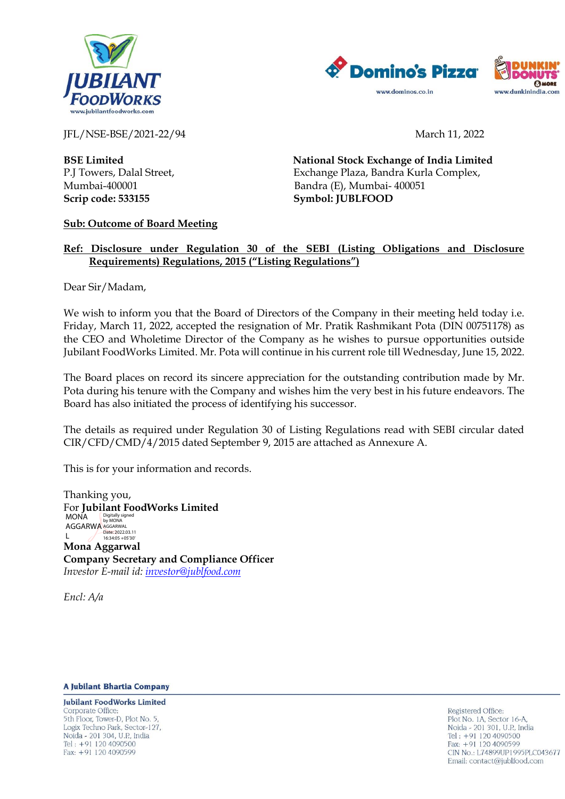



JFL/NSE-BSE/2021-22/94 March 11, 2022

**Scrip code: 533155 Symbol: JUBLFOOD**

**BSE Limited National Stock Exchange of India Limited** P.J Towers, Dalal Street, Exchange Plaza, Bandra Kurla Complex, Mumbai-400001 Bandra (E), Mumbai- 400051

## **Sub: Outcome of Board Meeting**

## **Ref: Disclosure under Regulation 30 of the SEBI (Listing Obligations and Disclosure Requirements) Regulations, 2015 ("Listing Regulations")**

Dear Sir/Madam,

We wish to inform you that the Board of Directors of the Company in their meeting held today i.e. Friday, March 11, 2022, accepted the resignation of Mr. Pratik Rashmikant Pota (DIN 00751178) as the CEO and Wholetime Director of the Company as he wishes to pursue opportunities outside Jubilant FoodWorks Limited. Mr. Pota will continue in his current role till Wednesday, June 15, 2022.

The Board places on record its sincere appreciation for the outstanding contribution made by Mr. Pota during his tenure with the Company and wishes him the very best in his future endeavors. The Board has also initiated the process of identifying his successor.

The details as required under Regulation 30 of Listing Regulations read with SEBI circular dated CIR/CFD/CMD/4/2015 dated September 9, 2015 are attached as Annexure A.

This is for your information and records.

Thanking you, For **Jubilant FoodWorks Limited Mona Aggarwal Company Secretary and Compliance Officer** *Investor E-mail id: [investor@jublfood.com](mailto:investor@jublfood.com)* MONA AGGARWA AGGARWAL  $\mathbf{L}$ Digitally signed by MONA Date: 2022.03.11 16:34:05 +05'30'

*Encl: A/a*

**A Jubilant Bhartia Company** 

**Jubilant FoodWorks Limited** Corporate Office: 5th Floor, Tower-D, Plot No. 5, Logix Techno Park, Sector-127, Noida - 201 304, U.P., India Tel: +91 120 4090500 Fax: +91 120 4090599

Registered Office: Plot No. 1A, Sector 16-A, Noida - 201 301, U.P., India Tel:  $+91$  120 4090500 Fax: +91 120 4090599 CIN No.: L74899UP1995PLC043677 Email: contact@jublfood.com